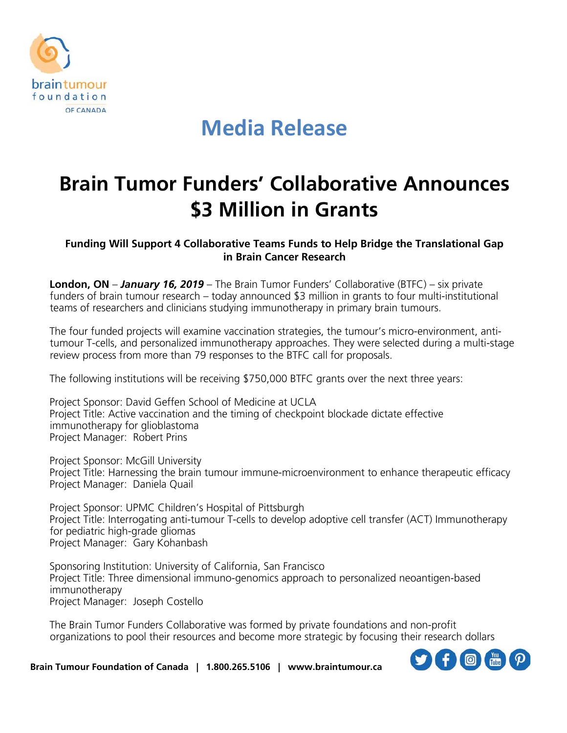

## **Media Release**

## **Brain Tumor Funders' Collaborative Announces \$3 Million in Grants**

**Funding Will Support 4 Collaborative Teams Funds to Help Bridge the Translational Gap in Brain Cancer Research**

**London, ON** – *January 16, 2019* – The Brain Tumor Funders' Collaborative (BTFC) – six private funders of brain tumour research – today announced \$3 million in grants to four multi-institutional teams of researchers and clinicians studying immunotherapy in primary brain tumours.

The four funded projects will examine vaccination strategies, the tumour's micro-environment, antitumour T-cells, and personalized immunotherapy approaches. They were selected during a multi-stage review process from more than 79 responses to the BTFC call for proposals.

The following institutions will be receiving \$750,000 BTFC grants over the next three years:

Project Sponsor: David Geffen School of Medicine at UCLA Project Title: Active vaccination and the timing of checkpoint blockade dictate effective immunotherapy for glioblastoma Project Manager: Robert Prins

Project Sponsor: McGill University Project Title: Harnessing the brain tumour immune-microenvironment to enhance therapeutic efficacy Project Manager: Daniela Quail

Project Sponsor: UPMC Children's Hospital of Pittsburgh Project Title: Interrogating anti-tumour T-cells to develop adoptive cell transfer (ACT) Immunotherapy for pediatric high-grade gliomas Project Manager: Gary Kohanbash

Sponsoring Institution: University of California, San Francisco Project Title: Three dimensional immuno-genomics approach to personalized neoantigen-based immunotherapy Project Manager: Joseph Costello

The Brain Tumor Funders Collaborative was formed by private foundations and non-profit organizations to pool their resources and become more strategic by focusing their research dollars